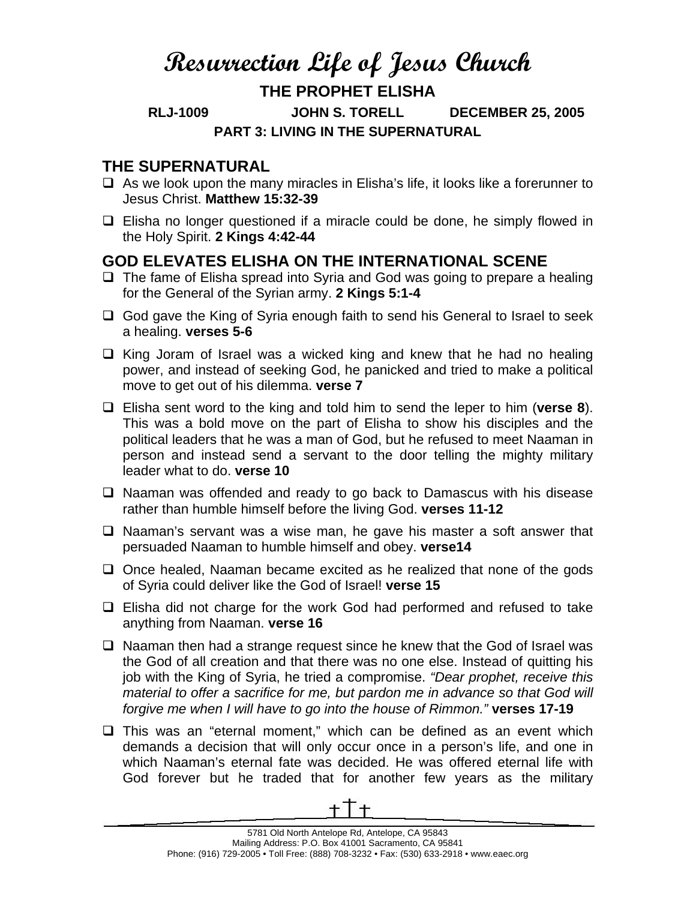## **Resurrection Life of Jesus Church**

## **THE PROPHET ELISHA**

**RLJ-1009 JOHN S. TORELL DECEMBER 25, 2005 PART 3: LIVING IN THE SUPERNATURAL** 

## **THE SUPERNATURAL**

- $\Box$  As we look upon the many miracles in Elisha's life, it looks like a forerunner to Jesus Christ. **Matthew 15:32-39**
- $\Box$  Elisha no longer questioned if a miracle could be done, he simply flowed in the Holy Spirit. **2 Kings 4:42-44**

## **GOD ELEVATES ELISHA ON THE INTERNATIONAL SCENE**

- $\Box$  The fame of Elisha spread into Syria and God was going to prepare a healing for the General of the Syrian army. **2 Kings 5:1-4**
- $\Box$  God gave the King of Syria enough faith to send his General to Israel to seek a healing. **verses 5-6**
- $\Box$  King Joram of Israel was a wicked king and knew that he had no healing power, and instead of seeking God, he panicked and tried to make a political move to get out of his dilemma. **verse 7**
- Elisha sent word to the king and told him to send the leper to him (**verse 8**). This was a bold move on the part of Elisha to show his disciples and the political leaders that he was a man of God, but he refused to meet Naaman in person and instead send a servant to the door telling the mighty military leader what to do. **verse 10**
- $\Box$  Naaman was offended and ready to go back to Damascus with his disease rather than humble himself before the living God. **verses 11-12**
- $\Box$  Naaman's servant was a wise man, he gave his master a soft answer that persuaded Naaman to humble himself and obey. **verse14**
- $\Box$  Once healed, Naaman became excited as he realized that none of the gods of Syria could deliver like the God of Israel! **verse 15**
- $\Box$  Elisha did not charge for the work God had performed and refused to take anything from Naaman. **verse 16**
- $\Box$  Naaman then had a strange request since he knew that the God of Israel was the God of all creation and that there was no one else. Instead of quitting his job with the King of Syria, he tried a compromise. *"Dear prophet, receive this material to offer a sacrifice for me, but pardon me in advance so that God will forgive me when I will have to go into the house of Rimmon."* **verses 17-19**
- $\Box$  This was an "eternal moment," which can be defined as an event which demands a decision that will only occur once in a person's life, and one in which Naaman's eternal fate was decided. He was offered eternal life with God forever but he traded that for another few years as the military